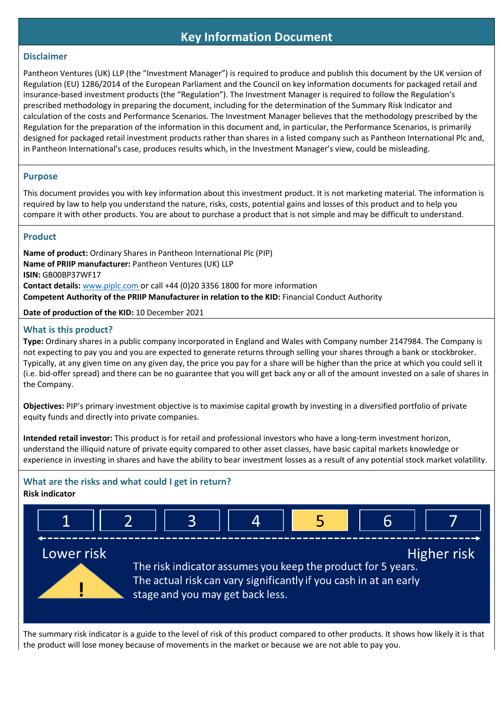## **Key Information Document**

#### **Disclaimer**

Pantheon Ventures (UK) LLP (the "Investment Manager") is required to produce and publish this document by the UK version of Regulation (EU) 1286/2014 of the European Parliament and the Council on key information documents for packaged retail and insurance-based investment products (the "Regulation"). The Investment Manager is required to follow the Regulation's prescribed methodology in preparing the document, including for the determination of the Summary Risk Indicator and calculation of the costs and Performance Scenarios. The Investment Manager believes that the methodology prescribed by the Regulation for the preparation of the information in this document and, in particular, the Performance Scenarios, is primarily designed for packaged retail investment products rather than shares in a listed company such as Pantheon International Plc and, in Pantheon International's case, produces results which, in the Investment Manager's view, could be misleading.

#### **Purpose**

This document provides you with key information about this investment product. It is not marketing material. The information is required by law to help you understand the nature, risks, costs, potential gains and losses of this product and to help you compare it with other products. You are about to purchase a product that is not simple and may be difficult to understand.

#### **Product**

**Name of product:** Ordinary Shares in Pantheon International Plc (PIP) **Name of PRIIP manufacturer:** Pantheon Ventures (UK) LLP **ISIN:** GB00BP37WF17 **Contact details:** [www.piplc.com](http://www.piplc.com/) or call +44 (0)20 3356 1800 for more information **Competent Authority of the PRIIP Manufacturer in relation to the KID:** Financial Conduct Authority

**Date of production of the KID:** 10 December 2021

## **What is this product?**

**Type:** Ordinary shares in a public company incorporated in England and Wales with Company number 2147984. The Company is not expecting to pay you and you are expected to generate returns through selling your shares through a bank or stockbroker. Typically, at any given time on any given day, the price you pay for a share will be higher than the price at which you could sell it (i.e. bid-offer spread) and there can be no guarantee that you will get back any or all of the amount invested on a sale of shares in the Company.

**Objectives:** PIP's primary investment objective is to maximise capital growth by investing in a diversified portfolio of private equity funds and directly into private companies.

**Intended retail investor:** This product is for retail and professional investors who have a long-term investment horizon, understand the illiquid nature of private equity compared to other asset classes, have basic capital markets knowledge or experience in investing in shares and have the ability to bear investment losses as a result of any potential stock market volatility.

# **What are the risks and what could I get in return?**





The summary risk indicator is a guide to the level of risk of this product compared to other products. It shows how likely it is that the product will lose money because of movements in the market or because we are not able to pay you.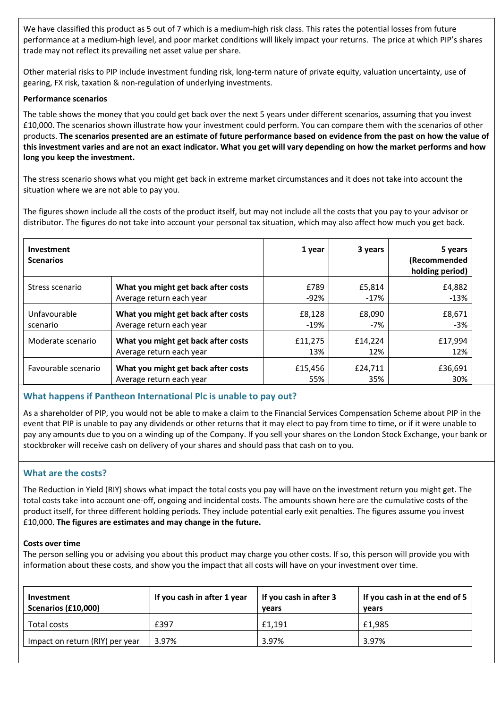We have classified this product as 5 out of 7 which is a medium-high risk class. This rates the potential losses from future performance at a medium-high level, and poor market conditions will likely impact your returns. The price at which PIP's shares trade may not reflect its prevailing net asset value per share.

Other material risks to PIP include investment funding risk, long-term nature of private equity, valuation uncertainty, use of gearing, FX risk, taxation & non-regulation of underlying investments.

#### **Performance scenarios**

The table shows the money that you could get back over the next 5 years under different scenarios, assuming that you invest £10,000. The scenarios shown illustrate how your investment could perform. You can compare them with the scenarios of other products. **The scenarios presented are an estimate of future performance based on evidence from the past on how the value of this investment varies and are not an exact indicator. What you get will vary depending on how the market performs and how long you keep the investment.**

The stress scenario shows what you might get back in extreme market circumstances and it does not take into account the situation where we are not able to pay you.

The figures shown include all the costs of the product itself, but may not include all the costs that you pay to your advisor or distributor. The figures do not take into account your personal tax situation, which may also affect how much you get back.

| Investment<br><b>Scenarios</b> |                                     | 1 year  | 3 years | 5 years<br>(Recommended<br>holding period) |
|--------------------------------|-------------------------------------|---------|---------|--------------------------------------------|
| Stress scenario                | What you might get back after costs | £789    | £5,814  | £4,882                                     |
|                                | Average return each year            | -92%    | -17%    | $-13%$                                     |
| Unfavourable                   | What you might get back after costs | £8,128  | £8,090  | £8,671                                     |
| scenario                       | Average return each year            | $-19%$  | -7%     | $-3%$                                      |
| Moderate scenario              | What you might get back after costs | £11,275 | £14,224 | £17,994                                    |
|                                | Average return each year            | 13%     | 12%     | 12%                                        |
| Favourable scenario            | What you might get back after costs | £15,456 | £24,711 | £36,691                                    |
|                                | Average return each year            | 55%     | 35%     | 30%                                        |

## **What happens if Pantheon International Plc is unable to pay out?**

As a shareholder of PIP, you would not be able to make a claim to the Financial Services Compensation Scheme about PIP in the event that PIP is unable to pay any dividends or other returns that it may elect to pay from time to time, or if it were unable to pay any amounts due to you on a winding up of the Company. If you sell your shares on the London Stock Exchange, your bank or stockbroker will receive cash on delivery of your shares and should pass that cash on to you.

## **What are the costs?**

The Reduction in Yield (RIY) shows what impact the total costs you pay will have on the investment return you might get. The total costs take into account one-off, ongoing and incidental costs. The amounts shown here are the cumulative costs of the product itself, for three different holding periods. They include potential early exit penalties. The figures assume you invest £10,000. **The figures are estimates and may change in the future.**

#### **Costs over time**

The person selling you or advising you about this product may charge you other costs. If so, this person will provide you with information about these costs, and show you the impact that all costs will have on your investment over time.

| Investment<br>Scenarios (£10,000) | If you cash in after 1 year | If you cash in after 3<br>vears | If you cash in at the end of 5<br>vears |
|-----------------------------------|-----------------------------|---------------------------------|-----------------------------------------|
| Total costs                       | £397                        | £1.191                          | £1,985                                  |
| Impact on return (RIY) per year   | 3.97%                       | 3.97%                           | 3.97%                                   |